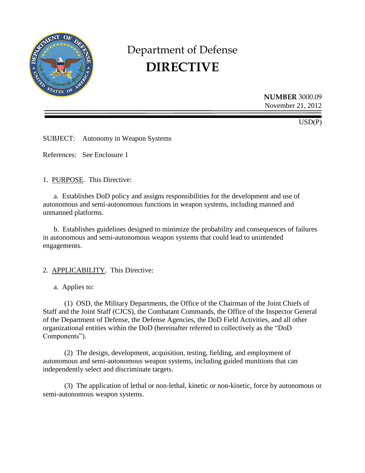

# Department of Defense **DIRECTIVE**

**NUMBER** 3000.09 November 21, 2012

USD(P)

SUBJECT: Autonomy in Weapon Systems

References: See Enclosure 1

1. PURPOSE. This Directive:

a. Establishes DoD policy and assigns responsibilities for the development and use of autonomous and semi-autonomous functions in weapon systems, including manned and unmanned platforms.

b. Establishes guidelines designed to minimize the probability and consequences of failures in autonomous and semi-autonomous weapon systems that could lead to unintended engagements.

# 2. APPLICABILITY. This Directive:

a. Applies to:

(1) OSD, the Military Departments, the Office of the Chairman of the Joint Chiefs of Staff and the Joint Staff (CJCS), the Combatant Commands, the Office of the Inspector General of the Department of Defense, the Defense Agencies, the DoD Field Activities, and all other organizational entities within the DoD (hereinafter referred to collectively as the "DoD Components").

(2) The design, development, acquisition, testing, fielding, and employment of autonomous and semi-autonomous weapon systems, including guided munitions that can independently select and discriminate targets.

(3) The application of lethal or non-lethal, kinetic or non-kinetic, force by autonomous or semi-autonomous weapon systems.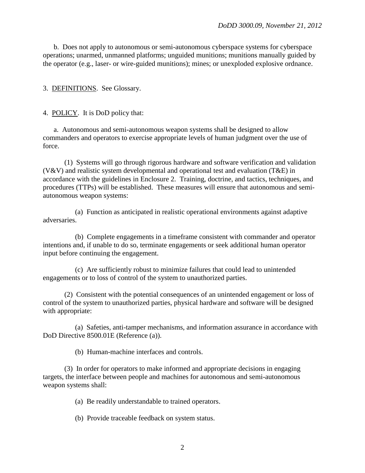b. Does not apply to autonomous or semi-autonomous cyberspace systems for cyberspace operations; unarmed, unmanned platforms; unguided munitions; munitions manually guided by the operator (e.g., laser- or wire-guided munitions); mines; or unexploded explosive ordnance.

3. DEFINITIONS. See Glossary.

4. POLICY. It is DoD policy that:

a. Autonomous and semi-autonomous weapon systems shall be designed to allow commanders and operators to exercise appropriate levels of human judgment over the use of force.

(1) Systems will go through rigorous hardware and software verification and validation (V&V) and realistic system developmental and operational test and evaluation (T&E) in accordance with the guidelines in Enclosure 2. Training, doctrine, and tactics, techniques, and procedures (TTPs) will be established. These measures will ensure that autonomous and semiautonomous weapon systems:

(a) Function as anticipated in realistic operational environments against adaptive adversaries.

(b) Complete engagements in a timeframe consistent with commander and operator intentions and, if unable to do so, terminate engagements or seek additional human operator input before continuing the engagement.

(c) Are sufficiently robust to minimize failures that could lead to unintended engagements or to loss of control of the system to unauthorized parties.

(2) Consistent with the potential consequences of an unintended engagement or loss of control of the system to unauthorized parties, physical hardware and software will be designed with appropriate:

(a) Safeties, anti-tamper mechanisms, and information assurance in accordance with DoD Directive 8500.01E (Reference (a)).

(b) Human-machine interfaces and controls.

(3) In order for operators to make informed and appropriate decisions in engaging targets, the interface between people and machines for autonomous and semi-autonomous weapon systems shall:

(a) Be readily understandable to trained operators.

(b) Provide traceable feedback on system status.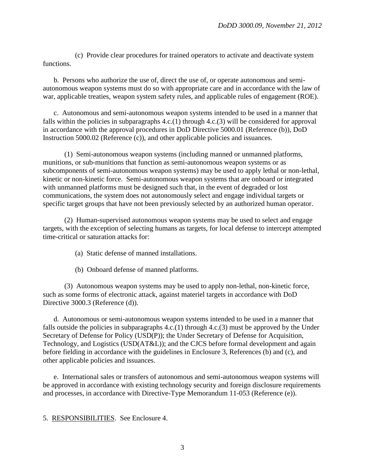(c) Provide clear procedures for trained operators to activate and deactivate system functions.

b. Persons who authorize the use of, direct the use of, or operate autonomous and semiautonomous weapon systems must do so with appropriate care and in accordance with the law of war, applicable treaties, weapon system safety rules, and applicable rules of engagement (ROE).

c. Autonomous and semi-autonomous weapon systems intended to be used in a manner that falls within the policies in subparagraphs  $4.c.(1)$  through  $4.c.(3)$  will be considered for approval in accordance with the approval procedures in DoD Directive 5000.01 (Reference (b)), DoD Instruction 5000.02 (Reference (c)), and other applicable policies and issuances.

(1) Semi-autonomous weapon systems (including manned or unmanned platforms, munitions, or sub-munitions that function as semi-autonomous weapon systems or as subcomponents of semi-autonomous weapon systems) may be used to apply lethal or non-lethal, kinetic or non-kinetic force. Semi-autonomous weapon systems that are onboard or integrated with unmanned platforms must be designed such that, in the event of degraded or lost communications, the system does not autonomously select and engage individual targets or specific target groups that have not been previously selected by an authorized human operator.

(2) Human-supervised autonomous weapon systems may be used to select and engage targets, with the exception of selecting humans as targets, for local defense to intercept attempted time-critical or saturation attacks for:

- (a) Static defense of manned installations.
- (b) Onboard defense of manned platforms.

(3) Autonomous weapon systems may be used to apply non-lethal, non-kinetic force, such as some forms of electronic attack, against materiel targets in accordance with DoD Directive 3000.3 (Reference (d)).

d. Autonomous or semi-autonomous weapon systems intended to be used in a manner that falls outside the policies in subparagraphs  $4.c.(1)$  through  $4.c.(3)$  must be approved by the Under Secretary of Defense for Policy (USD(P)); the Under Secretary of Defense for Acquisition, Technology, and Logistics (USD(AT&L)); and the CJCS before formal development and again before fielding in accordance with the guidelines in Enclosure 3, References (b) and (c), and other applicable policies and issuances.

e. International sales or transfers of autonomous and semi-autonomous weapon systems will be approved in accordance with existing technology security and foreign disclosure requirements and processes, in accordance with Directive-Type Memorandum 11-053 (Reference (e)).

5. RESPONSIBILITIES. See Enclosure 4.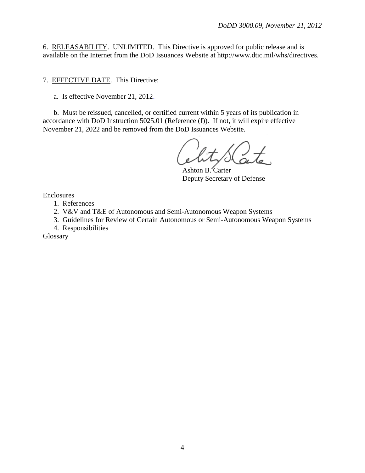6. RELEASABILITY. UNLIMITED. This Directive is approved for public release and is available on the Internet from the DoD Issuances Website at http://www.dtic.mil/whs/directives.

7. EFFECTIVE DATE. This Directive:

a. Is effective November 21, 2012.

b. Must be reissued, cancelled, or certified current within 5 years of its publication in accordance with DoD Instruction 5025.01 (Reference (f)). If not, it will expire effective November 21, 2022 and be removed from the DoD Issuances Website.

Ashton B. Carter Deputy Secretary of Defense

Enclosures

- 1. References
- 2. V&V and T&E of Autonomous and Semi-Autonomous Weapon Systems
- 3. Guidelines for Review of Certain Autonomous or Semi-Autonomous Weapon Systems
- 4. Responsibilities

**Glossary**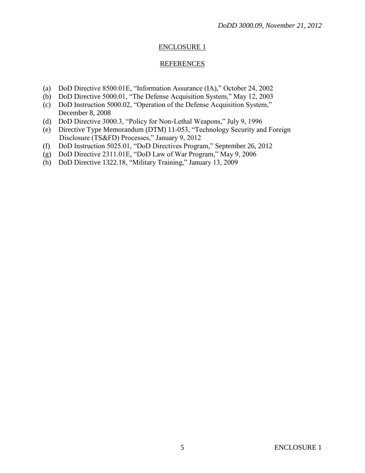## REFERENCES

- (a) DoD Directive 8500.01E, "Information Assurance (IA)," October 24, 2002
- (b) DoD Directive 5000.01, "The Defense Acquisition System," May 12, 2003
- (c) DoD Instruction 5000.02, "Operation of the Defense Acquisition System," December 8, 2008
- (d) DoD Directive 3000.3, "Policy for Non-Lethal Weapons," July 9, 1996
- (e) Directive Type Memorandum (DTM) 11-053, "Technology Security and Foreign Disclosure (TS&FD) Processes," January 9, 2012
- (f) DoD Instruction 5025.01, "DoD Directives Program," September 26, 2012
- (g) DoD Directive 2311.01E, "DoD Law of War Program," May 9, 2006
- (h) DoD Directive 1322.18, "Military Training," January 13, 2009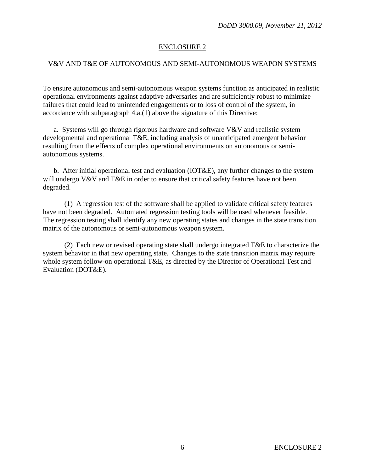# V&V AND T&E OF AUTONOMOUS AND SEMI-AUTONOMOUS WEAPON SYSTEMS

To ensure autonomous and semi-autonomous weapon systems function as anticipated in realistic operational environments against adaptive adversaries and are sufficiently robust to minimize failures that could lead to unintended engagements or to loss of control of the system, in accordance with subparagraph 4.a.(1) above the signature of this Directive:

a. Systems will go through rigorous hardware and software V&V and realistic system developmental and operational T&E, including analysis of unanticipated emergent behavior resulting from the effects of complex operational environments on autonomous or semiautonomous systems.

b. After initial operational test and evaluation (IOT&E), any further changes to the system will undergo V&V and T&E in order to ensure that critical safety features have not been degraded.

(1) A regression test of the software shall be applied to validate critical safety features have not been degraded. Automated regression testing tools will be used whenever feasible. The regression testing shall identify any new operating states and changes in the state transition matrix of the autonomous or semi-autonomous weapon system.

(2) Each new or revised operating state shall undergo integrated T&E to characterize the system behavior in that new operating state. Changes to the state transition matrix may require whole system follow-on operational T&E, as directed by the Director of Operational Test and Evaluation (DOT&E).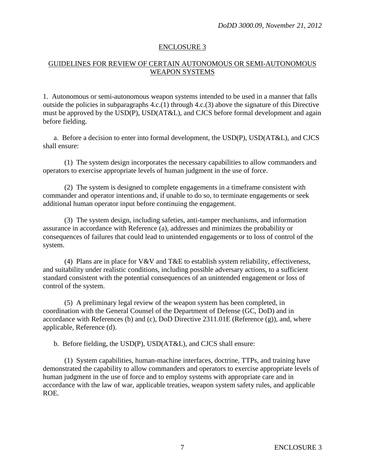# GUIDELINES FOR REVIEW OF CERTAIN AUTONOMOUS OR SEMI-AUTONOMOUS WEAPON SYSTEMS

1. Autonomous or semi-autonomous weapon systems intended to be used in a manner that falls outside the policies in subparagraphs 4.c.(1) through 4.c.(3) above the signature of this Directive must be approved by the USD(P), USD(AT&L), and CJCS before formal development and again before fielding.

a. Before a decision to enter into formal development, the USD(P), USD(AT&L), and CJCS shall ensure:

(1) The system design incorporates the necessary capabilities to allow commanders and operators to exercise appropriate levels of human judgment in the use of force.

(2) The system is designed to complete engagements in a timeframe consistent with commander and operator intentions and, if unable to do so, to terminate engagements or seek additional human operator input before continuing the engagement.

(3) The system design, including safeties, anti-tamper mechanisms, and information assurance in accordance with Reference (a), addresses and minimizes the probability or consequences of failures that could lead to unintended engagements or to loss of control of the system.

(4) Plans are in place for V&V and T&E to establish system reliability, effectiveness, and suitability under realistic conditions, including possible adversary actions, to a sufficient standard consistent with the potential consequences of an unintended engagement or loss of control of the system.

(5) A preliminary legal review of the weapon system has been completed, in coordination with the General Counsel of the Department of Defense (GC, DoD) and in accordance with References (b) and (c), DoD Directive 2311.01E (Reference (g)), and, where applicable, Reference (d).

b. Before fielding, the USD(P), USD(AT&L), and CJCS shall ensure:

(1) System capabilities, human-machine interfaces, doctrine, TTPs, and training have demonstrated the capability to allow commanders and operators to exercise appropriate levels of human judgment in the use of force and to employ systems with appropriate care and in accordance with the law of war, applicable treaties, weapon system safety rules, and applicable ROE.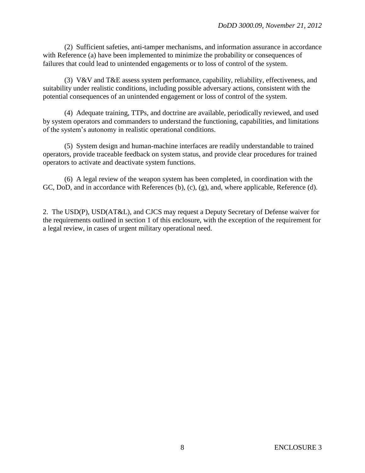(2) Sufficient safeties, anti-tamper mechanisms, and information assurance in accordance with Reference (a) have been implemented to minimize the probability or consequences of failures that could lead to unintended engagements or to loss of control of the system.

(3) V&V and T&E assess system performance, capability, reliability, effectiveness, and suitability under realistic conditions, including possible adversary actions, consistent with the potential consequences of an unintended engagement or loss of control of the system.

(4) Adequate training, TTPs, and doctrine are available, periodically reviewed, and used by system operators and commanders to understand the functioning, capabilities, and limitations of the system's autonomy in realistic operational conditions.

(5) System design and human-machine interfaces are readily understandable to trained operators, provide traceable feedback on system status, and provide clear procedures for trained operators to activate and deactivate system functions.

(6) A legal review of the weapon system has been completed, in coordination with the GC, DoD, and in accordance with References (b), (c), (g), and, where applicable, Reference (d).

2. The USD(P), USD(AT&L), and CJCS may request a Deputy Secretary of Defense waiver for the requirements outlined in section 1 of this enclosure, with the exception of the requirement for a legal review, in cases of urgent military operational need.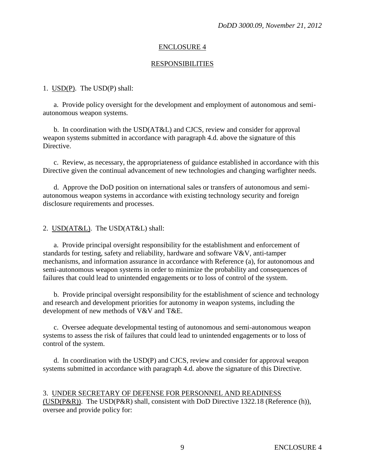#### **RESPONSIBILITIES**

#### 1. USD(P). The USD(P) shall:

a. Provide policy oversight for the development and employment of autonomous and semiautonomous weapon systems*.* 

b. In coordination with the USD(AT&L) and CJCS, review and consider for approval weapon systems submitted in accordance with paragraph 4.d. above the signature of this Directive.

c. Review, as necessary, the appropriateness of guidance established in accordance with this Directive given the continual advancement of new technologies and changing warfighter needs.

d. Approve the DoD position on international sales or transfers of autonomous and semiautonomous weapon systems in accordance with existing technology security and foreign disclosure requirements and processes.

#### 2. USD(AT&L). The USD(AT&L) shall:

a. Provide principal oversight responsibility for the establishment and enforcement of standards for testing, safety and reliability, hardware and software V&V, anti-tamper mechanisms, and information assurance in accordance with Reference (a), for autonomous and semi-autonomous weapon systems in order to minimize the probability and consequences of failures that could lead to unintended engagements or to loss of control of the system.

b. Provide principal oversight responsibility for the establishment of science and technology and research and development priorities for autonomy in weapon systems, including the development of new methods of V&V and T&E.

c. Oversee adequate developmental testing of autonomous and semi-autonomous weapon systems to assess the risk of failures that could lead to unintended engagements or to loss of control of the system.

d. In coordination with the USD(P) and CJCS, review and consider for approval weapon systems submitted in accordance with paragraph 4.d. above the signature of this Directive.

3. UNDER SECRETARY OF DEFENSE FOR PERSONNEL AND READINESS (USD(P&R)). The USD(P&R) shall, consistent with DoD Directive 1322.18 (Reference (h)), oversee and provide policy for: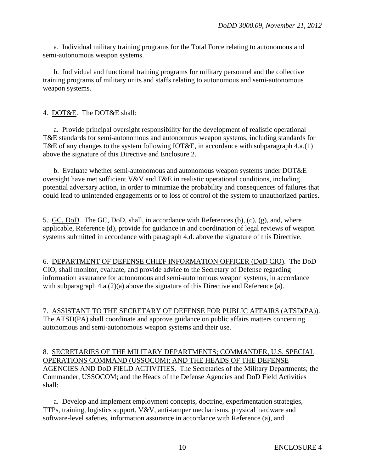a. Individual military training programs for the Total Force relating to autonomous and semi-autonomous weapon systems.

b. Individual and functional training programs for military personnel and the collective training programs of military units and staffs relating to autonomous and semi-autonomous weapon systems.

# 4. DOT&E. The DOT&E shall:

a. Provide principal oversight responsibility for the development of realistic operational T&E standards for semi-autonomous and autonomous weapon systems, including standards for T&E of any changes to the system following IOT&E, in accordance with subparagraph 4.a.(1) above the signature of this Directive and Enclosure 2.

b. Evaluate whether semi-autonomous and autonomous weapon systems under DOT&E oversight have met sufficient V&V and T&E in realistic operational conditions, including potential adversary action, in order to minimize the probability and consequences of failures that could lead to unintended engagements or to loss of control of the system to unauthorized parties.

5. GC, DoD. The GC, DoD, shall, in accordance with References (b), (c), (g), and, where applicable, Reference (d), provide for guidance in and coordination of legal reviews of weapon systems submitted in accordance with paragraph 4.d. above the signature of this Directive.

6. DEPARTMENT OF DEFENSE CHIEF INFORMATION OFFICER (DoD CIO). The DoD CIO, shall monitor, evaluate, and provide advice to the Secretary of Defense regarding information assurance for autonomous and semi-autonomous weapon systems, in accordance with subparagraph 4.a.(2)(a) above the signature of this Directive and Reference (a).

7. ASSISTANT TO THE SECRETARY OF DEFENSE FOR PUBLIC AFFAIRS (ATSD(PA)). The ATSD(PA) shall coordinate and approve guidance on public affairs matters concerning autonomous and semi-autonomous weapon systems and their use.

8. SECRETARIES OF THE MILITARY DEPARTMENTS; COMMANDER, U.S. SPECIAL OPERATIONS COMMAND (USSOCOM); AND THE HEADS OF THE DEFENSE AGENCIES AND DoD FIELD ACTIVITIES. The Secretaries of the Military Departments; the Commander, USSOCOM; and the Heads of the Defense Agencies and DoD Field Activities shall:

a. Develop and implement employment concepts, doctrine, experimentation strategies, TTPs, training, logistics support, V&V, anti-tamper mechanisms, physical hardware and software-level safeties, information assurance in accordance with Reference (a), and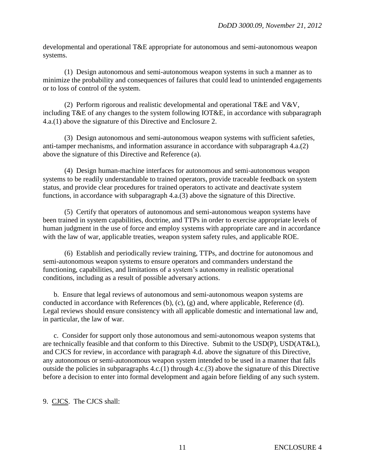developmental and operational T&E appropriate for autonomous and semi-autonomous weapon systems.

(1) Design autonomous and semi-autonomous weapon systems in such a manner as to minimize the probability and consequences of failures that could lead to unintended engagements or to loss of control of the system.

(2) Perform rigorous and realistic developmental and operational T&E and V&V, including T&E of any changes to the system following IOT&E, in accordance with subparagraph 4.a.(1) above the signature of this Directive and Enclosure 2.

(3) Design autonomous and semi-autonomous weapon systems with sufficient safeties, anti-tamper mechanisms, and information assurance in accordance with subparagraph 4.a.(2) above the signature of this Directive and Reference (a).

(4) Design human-machine interfaces for autonomous and semi-autonomous weapon systems to be readily understandable to trained operators, provide traceable feedback on system status, and provide clear procedures for trained operators to activate and deactivate system functions, in accordance with subparagraph 4.a.(3) above the signature of this Directive.

(5) Certify that operators of autonomous and semi-autonomous weapon systems have been trained in system capabilities, doctrine, and TTPs in order to exercise appropriate levels of human judgment in the use of force and employ systems with appropriate care and in accordance with the law of war, applicable treaties, weapon system safety rules, and applicable ROE.

(6) Establish and periodically review training, TTPs, and doctrine for autonomous and semi-autonomous weapon systems to ensure operators and commanders understand the functioning, capabilities, and limitations of a system's autonomy in realistic operational conditions, including as a result of possible adversary actions.

b. Ensure that legal reviews of autonomous and semi-autonomous weapon systems are conducted in accordance with References (b), (c), (g) and, where applicable, Reference (d). Legal reviews should ensure consistency with all applicable domestic and international law and, in particular, the law of war.

c. Consider for support only those autonomous and semi-autonomous weapon systems that are technically feasible and that conform to this Directive. Submit to the USD(P), USD(AT&L), and CJCS for review, in accordance with paragraph 4.d. above the signature of this Directive, any autonomous or semi-autonomous weapon system intended to be used in a manner that falls outside the policies in subparagraphs 4.c.(1) through 4.c.(3) above the signature of this Directive before a decision to enter into formal development and again before fielding of any such system.

9. CJCS. The CJCS shall: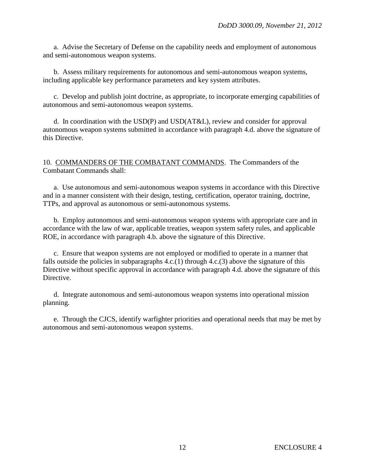a. Advise the Secretary of Defense on the capability needs and employment of autonomous and semi-autonomous weapon systems.

b. Assess military requirements for autonomous and semi-autonomous weapon systems, including applicable key performance parameters and key system attributes.

c. Develop and publish joint doctrine, as appropriate, to incorporate emerging capabilities of autonomous and semi-autonomous weapon systems.

d. In coordination with the USD(P) and USD(AT&L), review and consider for approval autonomous weapon systems submitted in accordance with paragraph 4.d. above the signature of this Directive.

## 10. COMMANDERS OF THE COMBATANT COMMANDS. The Commanders of the Combatant Commands shall:

a. Use autonomous and semi-autonomous weapon systems in accordance with this Directive and in a manner consistent with their design, testing, certification, operator training, doctrine, TTPs, and approval as autonomous or semi-autonomous systems.

b. Employ autonomous and semi-autonomous weapon systems with appropriate care and in accordance with the law of war, applicable treaties, weapon system safety rules, and applicable ROE, in accordance with paragraph 4.b. above the signature of this Directive.

c. Ensure that weapon systems are not employed or modified to operate in a manner that falls outside the policies in subparagraphs  $4.c.(1)$  through  $4.c.(3)$  above the signature of this Directive without specific approval in accordance with paragraph 4.d. above the signature of this Directive.

d. Integrate autonomous and semi-autonomous weapon systems into operational mission planning.

e. Through the CJCS, identify warfighter priorities and operational needs that may be met by autonomous and semi-autonomous weapon systems.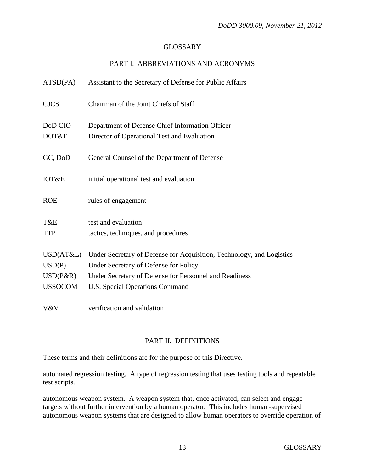# GLOSSARY

# PART I. ABBREVIATIONS AND ACRONYMS

| ATSD(PA)                                             | Assistant to the Secretary of Defense for Public Affairs                                                                                                                                                    |
|------------------------------------------------------|-------------------------------------------------------------------------------------------------------------------------------------------------------------------------------------------------------------|
| <b>CJCS</b>                                          | Chairman of the Joint Chiefs of Staff                                                                                                                                                                       |
| DoD CIO<br>DOT&E                                     | Department of Defense Chief Information Officer<br>Director of Operational Test and Evaluation                                                                                                              |
| GC, DoD                                              | General Counsel of the Department of Defense                                                                                                                                                                |
| IOT&E                                                | initial operational test and evaluation                                                                                                                                                                     |
| <b>ROE</b>                                           | rules of engagement                                                                                                                                                                                         |
| T&E<br><b>TTP</b>                                    | test and evaluation<br>tactics, techniques, and procedures                                                                                                                                                  |
| USD(AT&L)<br>USD(P)<br>$USD(P\&R)$<br><b>USSOCOM</b> | Under Secretary of Defense for Acquisition, Technology, and Logistics<br>Under Secretary of Defense for Policy<br>Under Secretary of Defense for Personnel and Readiness<br>U.S. Special Operations Command |
| V&V                                                  | verification and validation                                                                                                                                                                                 |

# PART II. DEFINITIONS

These terms and their definitions are for the purpose of this Directive.

automated regression testing. A type of regression testing that uses testing tools and repeatable test scripts.

autonomous weapon system. A weapon system that, once activated, can select and engage targets without further intervention by a human operator. This includes human-supervised autonomous weapon systems that are designed to allow human operators to override operation of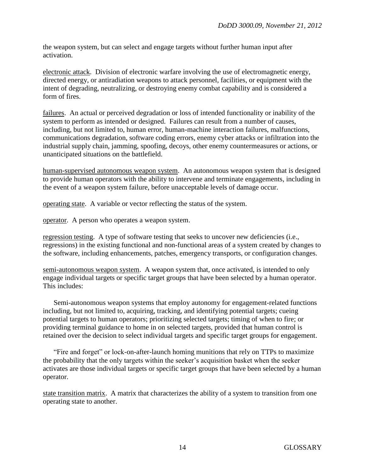the weapon system, but can select and engage targets without further human input after activation.

electronic attack. Division of electronic warfare involving the use of electromagnetic energy, directed energy, or antiradiation weapons to attack personnel, facilities, or equipment with the intent of degrading, neutralizing, or destroying enemy combat capability and is considered a form of fires.

failures. An actual or perceived degradation or loss of intended functionality or inability of the system to perform as intended or designed. Failures can result from a number of causes, including, but not limited to, human error, human-machine interaction failures, malfunctions, communications degradation, software coding errors, enemy cyber attacks or infiltration into the industrial supply chain, jamming, spoofing, decoys, other enemy countermeasures or actions, or unanticipated situations on the battlefield.

human-supervised autonomous weapon system. An autonomous weapon system that is designed to provide human operators with the ability to intervene and terminate engagements, including in the event of a weapon system failure, before unacceptable levels of damage occur.

operating state. A variable or vector reflecting the status of the system.

operator. A person who operates a weapon system.

regression testing. A type of software testing that seeks to uncover new deficiencies (i.e., regressions) in the existing functional and non-functional areas of a system created by changes to the software, including enhancements, patches, emergency transports, or configuration changes.

semi-autonomous weapon system. A weapon system that, once activated, is intended to only engage individual targets or specific target groups that have been selected by a human operator. This includes:

Semi-autonomous weapon systems that employ autonomy for engagement-related functions including, but not limited to, acquiring, tracking, and identifying potential targets; cueing potential targets to human operators; prioritizing selected targets; timing of when to fire; or providing terminal guidance to home in on selected targets, provided that human control is retained over the decision to select individual targets and specific target groups for engagement.

"Fire and forget" or lock-on-after-launch homing munitions that rely on TTPs to maximize the probability that the only targets within the seeker's acquisition basket when the seeker activates are those individual targets or specific target groups that have been selected by a human operator.

state transition matrix. A matrix that characterizes the ability of a system to transition from one operating state to another.